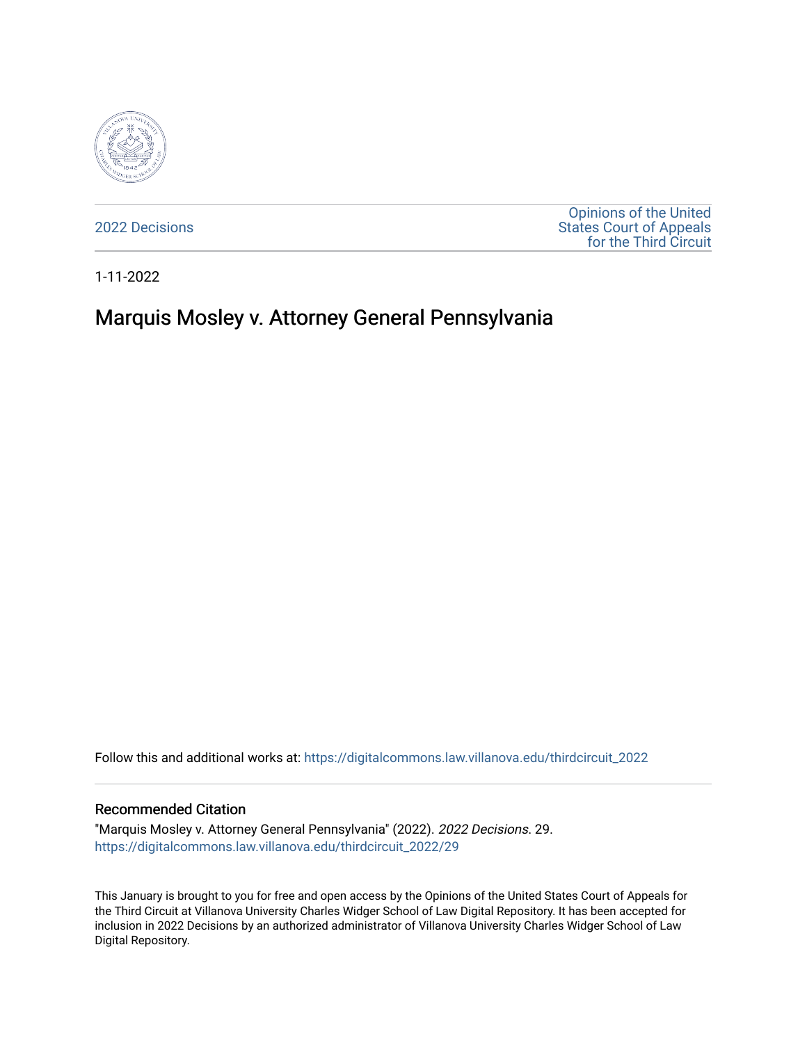

[2022 Decisions](https://digitalcommons.law.villanova.edu/thirdcircuit_2022)

[Opinions of the United](https://digitalcommons.law.villanova.edu/thirdcircuit)  [States Court of Appeals](https://digitalcommons.law.villanova.edu/thirdcircuit)  [for the Third Circuit](https://digitalcommons.law.villanova.edu/thirdcircuit) 

1-11-2022

# Marquis Mosley v. Attorney General Pennsylvania

Follow this and additional works at: [https://digitalcommons.law.villanova.edu/thirdcircuit\\_2022](https://digitalcommons.law.villanova.edu/thirdcircuit_2022?utm_source=digitalcommons.law.villanova.edu%2Fthirdcircuit_2022%2F29&utm_medium=PDF&utm_campaign=PDFCoverPages) 

#### Recommended Citation

"Marquis Mosley v. Attorney General Pennsylvania" (2022). 2022 Decisions. 29. [https://digitalcommons.law.villanova.edu/thirdcircuit\\_2022/29](https://digitalcommons.law.villanova.edu/thirdcircuit_2022/29?utm_source=digitalcommons.law.villanova.edu%2Fthirdcircuit_2022%2F29&utm_medium=PDF&utm_campaign=PDFCoverPages)

This January is brought to you for free and open access by the Opinions of the United States Court of Appeals for the Third Circuit at Villanova University Charles Widger School of Law Digital Repository. It has been accepted for inclusion in 2022 Decisions by an authorized administrator of Villanova University Charles Widger School of Law Digital Repository.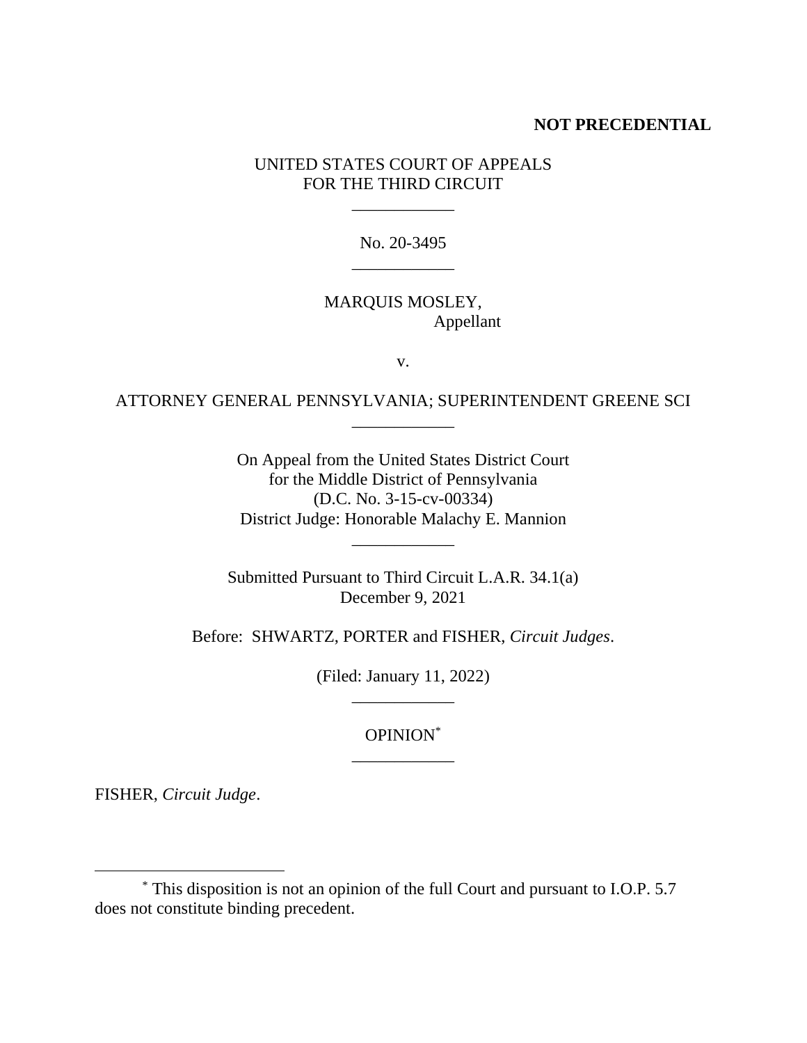#### **NOT PRECEDENTIAL**

### UNITED STATES COURT OF APPEALS FOR THE THIRD CIRCUIT

\_\_\_\_\_\_\_\_\_\_\_\_

No. 20-3495 \_\_\_\_\_\_\_\_\_\_\_\_

#### MARQUIS MOSLEY, Appellant

v.

## ATTORNEY GENERAL PENNSYLVANIA; SUPERINTENDENT GREENE SCI \_\_\_\_\_\_\_\_\_\_\_\_

On Appeal from the United States District Court for the Middle District of Pennsylvania (D.C. No. 3-15-cv-00334) District Judge: Honorable Malachy E. Mannion

\_\_\_\_\_\_\_\_\_\_\_\_

Submitted Pursuant to Third Circuit L.A.R. 34.1(a) December 9, 2021

Before: SHWARTZ, PORTER and FISHER, *Circuit Judges*.

(Filed: January 11, 2022) \_\_\_\_\_\_\_\_\_\_\_\_

> OPINION\* \_\_\_\_\_\_\_\_\_\_\_\_

FISHER, *Circuit Judge*.

<sup>\*</sup> This disposition is not an opinion of the full Court and pursuant to I.O.P. 5.7 does not constitute binding precedent.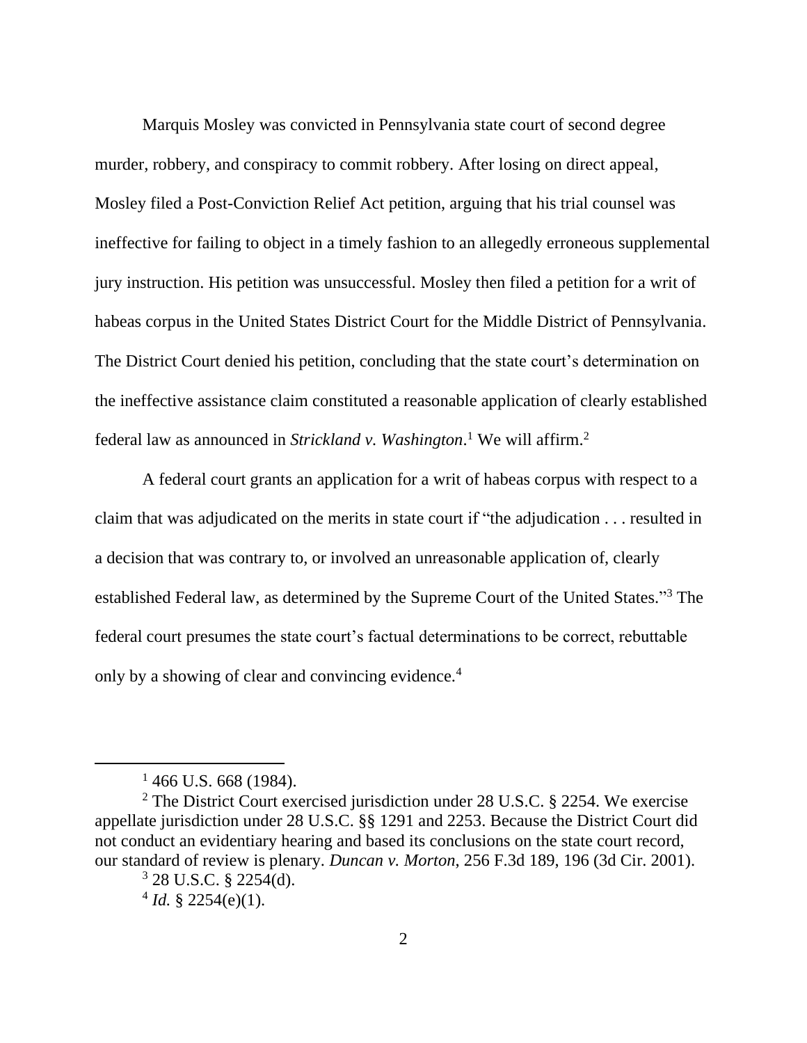Marquis Mosley was convicted in Pennsylvania state court of second degree murder, robbery, and conspiracy to commit robbery. After losing on direct appeal, Mosley filed a Post-Conviction Relief Act petition, arguing that his trial counsel was ineffective for failing to object in a timely fashion to an allegedly erroneous supplemental jury instruction. His petition was unsuccessful. Mosley then filed a petition for a writ of habeas corpus in the United States District Court for the Middle District of Pennsylvania. The District Court denied his petition, concluding that the state court's determination on the ineffective assistance claim constituted a reasonable application of clearly established federal law as announced in *Strickland v. Washington*. <sup>1</sup> We will affirm.<sup>2</sup>

A federal court grants an application for a writ of habeas corpus with respect to a claim that was adjudicated on the merits in state court if "the adjudication . . . resulted in a decision that was contrary to, or involved an unreasonable application of, clearly established Federal law, as determined by the Supreme Court of the United States."<sup>3</sup> The federal court presumes the state court's factual determinations to be correct, rebuttable only by a showing of clear and convincing evidence.<sup>4</sup>

 $1466$  U.S. 668 (1984).

<sup>2</sup> The District Court exercised jurisdiction under 28 U.S.C. § 2254. We exercise appellate jurisdiction under 28 U.S.C. §§ 1291 and 2253. Because the District Court did not conduct an evidentiary hearing and based its conclusions on the state court record, our standard of review is plenary. *Duncan v. Morton*, 256 F.3d 189, 196 (3d Cir. 2001).

 $3$  28 U.S.C. § 2254(d).

 $4$  *Id.* § 2254(e)(1).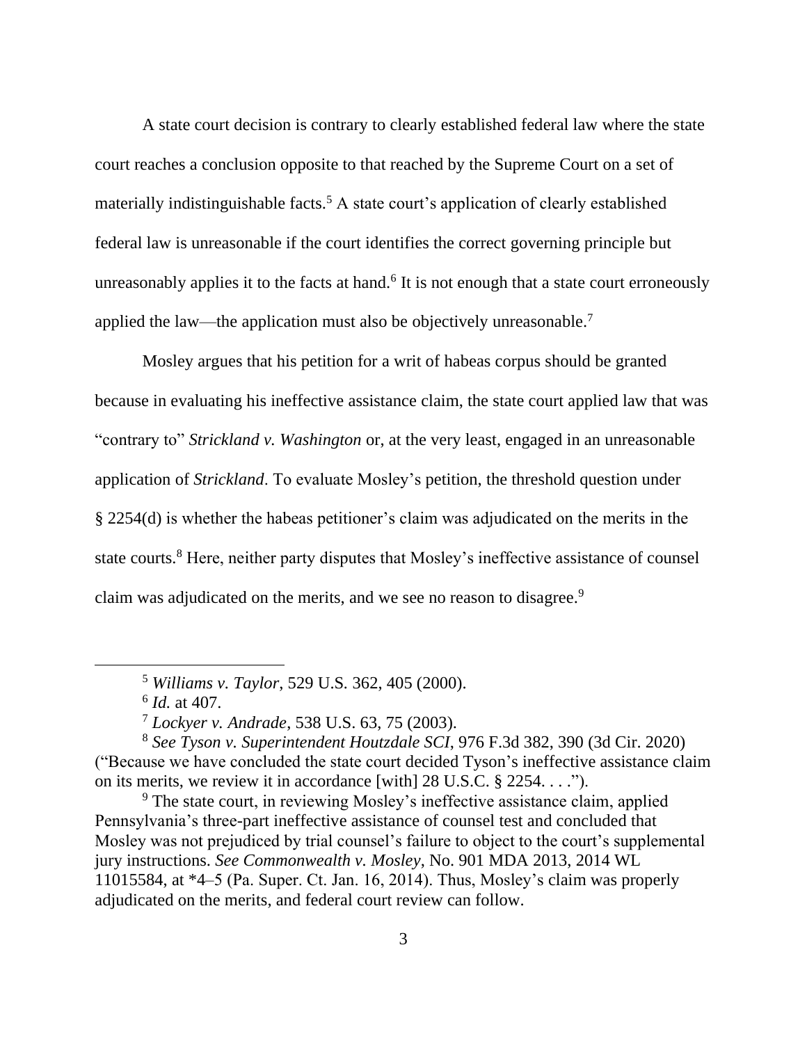A state court decision is contrary to clearly established federal law where the state court reaches a conclusion opposite to that reached by the Supreme Court on a set of materially indistinguishable facts.<sup>5</sup> A state court's application of clearly established federal law is unreasonable if the court identifies the correct governing principle but unreasonably applies it to the facts at hand.<sup>6</sup> It is not enough that a state court erroneously applied the law—the application must also be objectively unreasonable.<sup>7</sup>

Mosley argues that his petition for a writ of habeas corpus should be granted because in evaluating his ineffective assistance claim, the state court applied law that was "contrary to" *Strickland v. Washington* or, at the very least, engaged in an unreasonable application of *Strickland*. To evaluate Mosley's petition, the threshold question under § 2254(d) is whether the habeas petitioner's claim was adjudicated on the merits in the state courts.<sup>8</sup> Here, neither party disputes that Mosley's ineffective assistance of counsel claim was adjudicated on the merits, and we see no reason to disagree.<sup>9</sup>

<sup>5</sup> *Williams v. Taylor*, 529 U.S*.* 362, 405 (2000).

<sup>6</sup> *Id.* at 407.

<sup>7</sup> *Lockyer v. Andrade*, 538 U.S. 63, 75 (2003).

<sup>8</sup> *See Tyson v. Superintendent Houtzdale SCI*, 976 F.3d 382, 390 (3d Cir. 2020) ("Because we have concluded the state court decided Tyson's ineffective assistance claim on its merits, we review it in accordance [with] 28 U.S.C. § 2254. . . .").

<sup>&</sup>lt;sup>9</sup> The state court, in reviewing Mosley's ineffective assistance claim, applied Pennsylvania's three-part ineffective assistance of counsel test and concluded that Mosley was not prejudiced by trial counsel's failure to object to the court's supplemental jury instructions. *See Commonwealth v. Mosley*, No. 901 MDA 2013, 2014 WL 11015584, at \*4–5 (Pa. Super. Ct. Jan. 16, 2014). Thus, Mosley's claim was properly adjudicated on the merits, and federal court review can follow.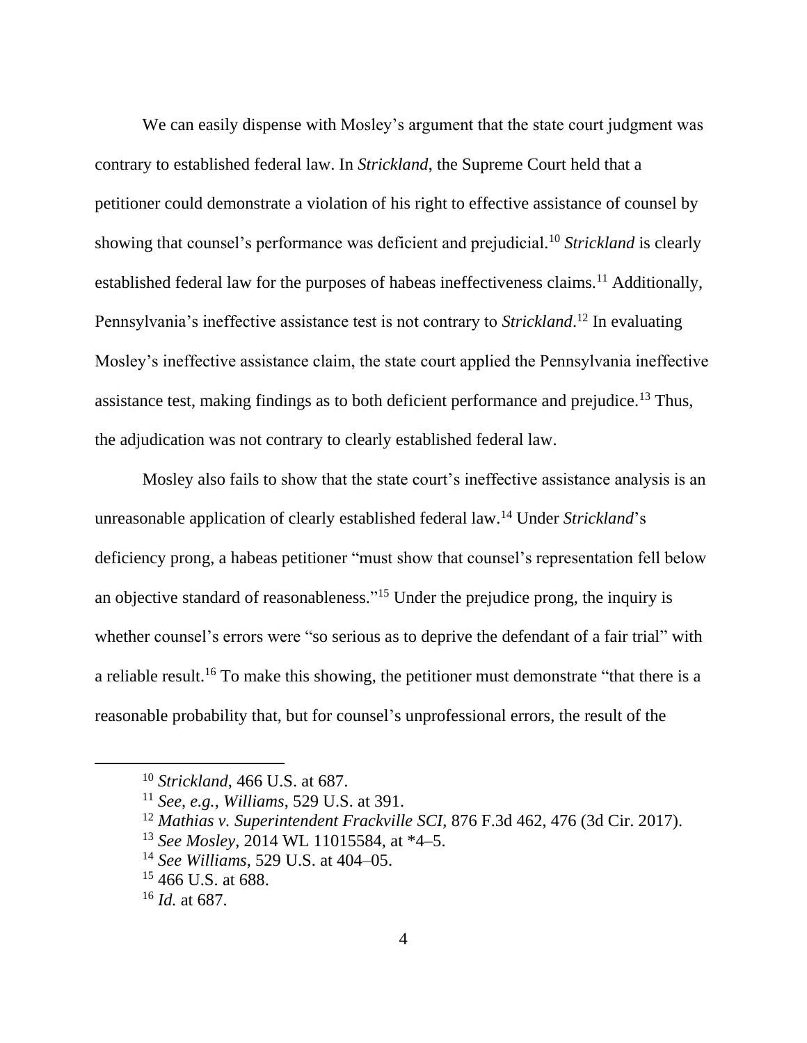We can easily dispense with Mosley's argument that the state court judgment was contrary to established federal law. In *Strickland*, the Supreme Court held that a petitioner could demonstrate a violation of his right to effective assistance of counsel by showing that counsel's performance was deficient and prejudicial. <sup>10</sup> *Strickland* is clearly established federal law for the purposes of habeas ineffectiveness claims.<sup>11</sup> Additionally, Pennsylvania's ineffective assistance test is not contrary to *Strickland*. <sup>12</sup> In evaluating Mosley's ineffective assistance claim, the state court applied the Pennsylvania ineffective assistance test, making findings as to both deficient performance and prejudice.<sup>13</sup> Thus, the adjudication was not contrary to clearly established federal law.

Mosley also fails to show that the state court's ineffective assistance analysis is an unreasonable application of clearly established federal law.<sup>14</sup> Under *Strickland*'s deficiency prong, a habeas petitioner "must show that counsel's representation fell below an objective standard of reasonableness." <sup>15</sup> Under the prejudice prong, the inquiry is whether counsel's errors were "so serious as to deprive the defendant of a fair trial" with a reliable result.<sup>16</sup> To make this showing, the petitioner must demonstrate "that there is a reasonable probability that, but for counsel's unprofessional errors, the result of the

- <sup>13</sup> *See Mosley*, 2014 WL 11015584, at \*4–5.
- <sup>14</sup> *See Williams*, 529 U.S. at 404–05.

<sup>10</sup> *Strickland*, 466 U.S. at 687.

<sup>11</sup> *See, e.g.*, *Williams*, 529 U.S. at 391.

<sup>12</sup> *Mathias v. Superintendent Frackville SCI*, 876 F.3d 462, 476 (3d Cir. 2017).

<sup>&</sup>lt;sup>15</sup> 466 U.S. at 688.

<sup>16</sup> *Id.* at 687.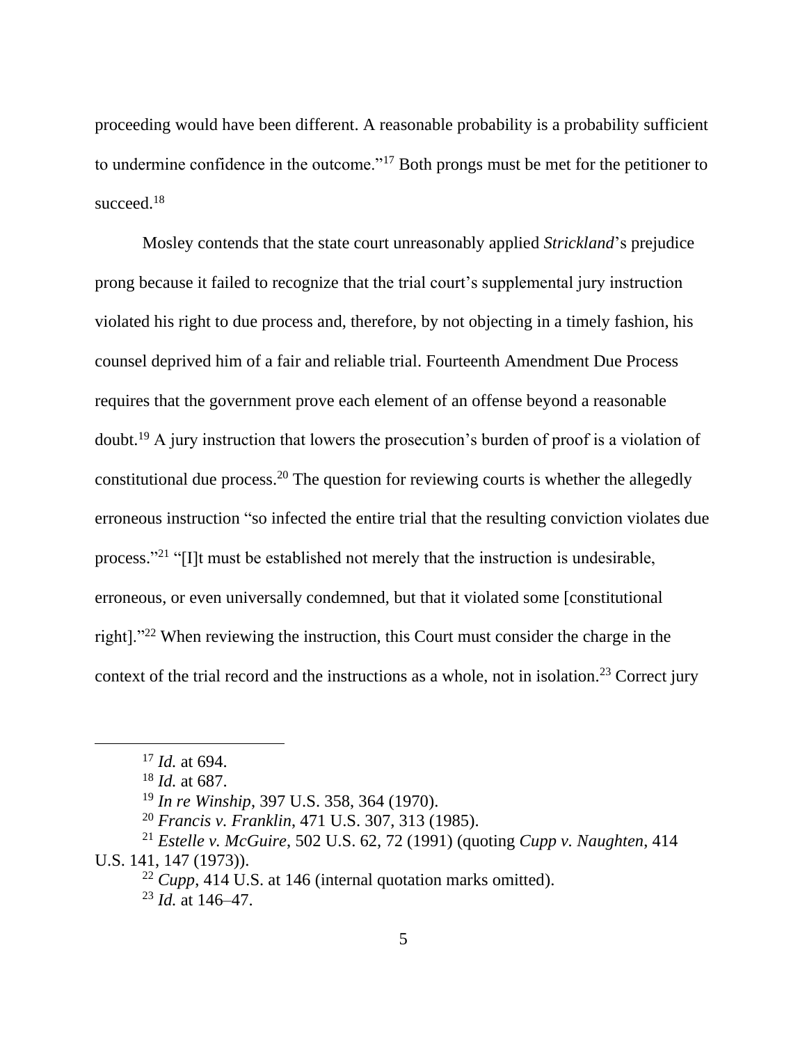proceeding would have been different. A reasonable probability is a probability sufficient to undermine confidence in the outcome."<sup>17</sup> Both prongs must be met for the petitioner to succeed.<sup>18</sup>

Mosley contends that the state court unreasonably applied *Strickland*'s prejudice prong because it failed to recognize that the trial court's supplemental jury instruction violated his right to due process and, therefore, by not objecting in a timely fashion, his counsel deprived him of a fair and reliable trial. Fourteenth Amendment Due Process requires that the government prove each element of an offense beyond a reasonable doubt.<sup>19</sup> A jury instruction that lowers the prosecution's burden of proof is a violation of constitutional due process.<sup>20</sup> The question for reviewing courts is whether the allegedly erroneous instruction "so infected the entire trial that the resulting conviction violates due process."<sup>21</sup> "[I]t must be established not merely that the instruction is undesirable, erroneous, or even universally condemned, but that it violated some [constitutional right]."<sup>22</sup> When reviewing the instruction, this Court must consider the charge in the context of the trial record and the instructions as a whole, not in isolation.<sup>23</sup> Correct jury

<sup>17</sup> *Id.* at 694.

<sup>18</sup> *Id.* at 687.

<sup>19</sup> *In re Winship*, 397 U.S. 358, 364 (1970).

<sup>20</sup> *Francis v. Franklin*, 471 U.S. 307, 313 (1985).

<sup>21</sup> *Estelle v. McGuire*, 502 U.S. 62, 72 (1991) (quoting *Cupp v. Naughten*, 414 U.S. 141, 147 (1973)).

<sup>22</sup> *Cupp*, 414 U.S. at 146 (internal quotation marks omitted).

<sup>23</sup> *Id.* at 146–47.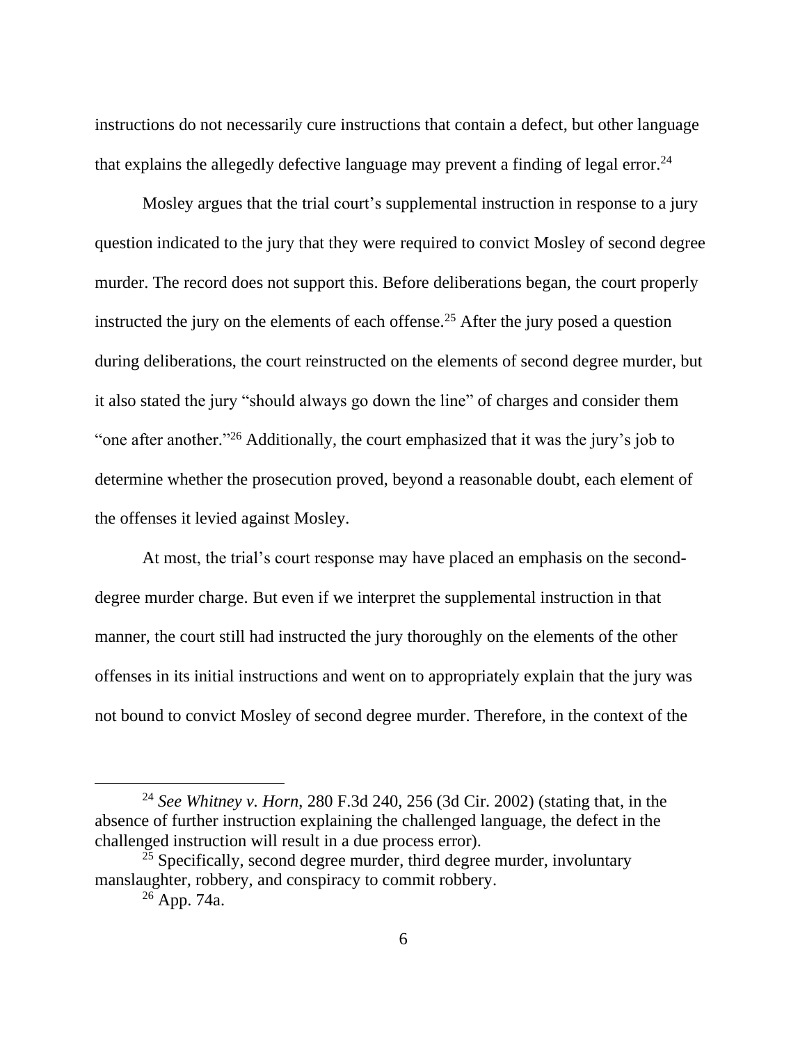instructions do not necessarily cure instructions that contain a defect, but other language that explains the allegedly defective language may prevent a finding of legal error.<sup>24</sup>

Mosley argues that the trial court's supplemental instruction in response to a jury question indicated to the jury that they were required to convict Mosley of second degree murder. The record does not support this. Before deliberations began, the court properly instructed the jury on the elements of each offense.<sup>25</sup> After the jury posed a question during deliberations, the court reinstructed on the elements of second degree murder, but it also stated the jury "should always go down the line" of charges and consider them "one after another."<sup>26</sup> Additionally, the court emphasized that it was the jury's job to determine whether the prosecution proved, beyond a reasonable doubt, each element of the offenses it levied against Mosley.

At most, the trial's court response may have placed an emphasis on the seconddegree murder charge. But even if we interpret the supplemental instruction in that manner, the court still had instructed the jury thoroughly on the elements of the other offenses in its initial instructions and went on to appropriately explain that the jury was not bound to convict Mosley of second degree murder. Therefore, in the context of the

<sup>24</sup> *See Whitney v. Horn*, 280 F.3d 240, 256 (3d Cir. 2002) (stating that, in the absence of further instruction explaining the challenged language, the defect in the challenged instruction will result in a due process error).

 $^{25}$  Specifically, second degree murder, third degree murder, involuntary manslaughter, robbery, and conspiracy to commit robbery.

 $26$  App. 74a.